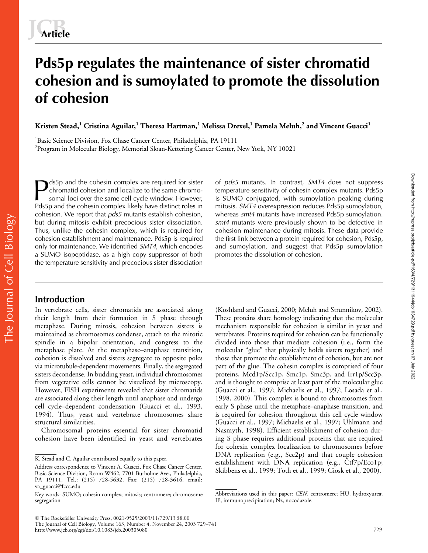# **Pds5p regulates the maintenance of sister chromatid cohesion and is sumoylated to promote the dissolution of cohesion**

**Kristen Stead,<sup>1</sup> Cristina Aguilar,<sup>1</sup> Theresa Hartman,<sup>1</sup> Melissa Drexel,<sup>1</sup> Pamela Meluh,<sup>2</sup> and Vincent Guacci<sup>1</sup>**

<sup>1</sup>Basic Science Division, Fox Chase Cancer Center, Philadelphia, PA 19111 2 Program in Molecular Biology, Memorial Sloan-Kettering Cancer Center, New York, NY 10021

The Journal of Cell Biology The Journal of Cell Biology

ds5p and the cohesin complex are required for sister chromatid cohesion and localize to the same chromosomal loci over the same cell cycle window. However, Pds5p and the cohesin complex likely have distinct roles in cohesion. We report that *pds5* mutants establish cohesion, but during mitosis exhibit precocious sister dissociation. Thus, unlike the cohesin complex, which is required for cohesion establishment and maintenance, Pds5p is required only for maintenance. We identified *SMT4*, which encodes a SUMO isopeptidase, as a high copy suppressor of both the temperature sensitivity and precocious sister dissociation Sp and the cohesin complex are required for sister of *pds5* mutants. In contrast, *SMT4* does not suppress<br>
somal loci over the same cell cycle window. However, is SUMO conjugated, with sumoylation peaking during<br>
Pds5n a

# temperature sensitivity of cohesin complex mutants. Pds5p mitosis. *SMT4* overexpression reduces Pds5p sumoylation, whereas *smt4* mutants have increased Pds5p sumoylation. *smt4* mutants were previously shown to be defective in cohesion maintenance during mitosis. These data provide the first link between a protein required for cohesion, Pds5p, and sumoylation, and suggest that Pds5p sumoylation promotes the dissolution of cohesion.

# **Introduction**

In vertebrate cells, sister chromatids are associated along their length from their formation in S phase through metaphase. During mitosis, cohesion between sisters is maintained as chromosomes condense, attach to the mitotic spindle in a bipolar orientation, and congress to the metaphase plate. At the metaphase–anaphase transition, cohesion is dissolved and sisters segregate to opposite poles via microtubule-dependent movements. Finally, the segregated sisters decondense. In budding yeast, individual chromosomes from vegetative cells cannot be visualized by microscopy. However, FISH experiments revealed that sister chromatids are associated along their length until anaphase and undergo cell cycle–dependent condensation (Guacci et al., 1993, 1994). Thus, yeast and vertebrate chromosomes share structural similarities.

Chromosomal proteins essential for sister chromatid cohesion have been identified in yeast and vertebrates

(Koshland and Guacci, 2000; Meluh and Strunnikov, 2002). These proteins share homology indicating that the molecular mechanism responsible for cohesion is similar in yeast and vertebrates. Proteins required for cohesion can be functionally divided into those that mediate cohesion (i.e., form the molecular "glue" that physically holds sisters together) and those that promote the establishment of cohesion, but are not part of the glue. The cohesin complex is comprised of four proteins, Mcd1p/Scc1p, Smc1p, Smc3p, and Irr1p/Scc3p, and is thought to comprise at least part of the molecular glue (Guacci et al., 1997; Michaelis et al., 1997; Losada et al., 1998, 2000). This complex is bound to chromosomes from early S phase until the metaphase–anaphase transition, and is required for cohesion throughout this cell cycle window (Guacci et al., 1997; Michaelis et al., 1997; Uhlmann and Nasmyth, 1998). Efficient establishment of cohesion during S phase requires additional proteins that are required for cohesin complex localization to chromosomes before DNA replication (e.g., Scc2p) and that couple cohesion establishment with DNA replication (e.g., Ctf7p/Eco1p; Skibbens et al., 1999; Toth et al., 1999; Ciosk et al., 2000).

K. Stead and C. Aguilar contributed equally to this paper.

Address correspondence to Vincent A. Guacci, Fox Chase Cancer Center, Basic Science Division, Room W462, 7701 Burholme Ave., Philadelphia, PA 19111. Tel.: (215) 728-5632. Fax: (215) 728-3616. email: va\_guacci@fccc.edu

Key words: SUMO; cohesin complex; mitosis; centromere; chromosome segregation

Abbreviations used in this paper: *CEN*, centromere; HU, hydroxyurea; IP, immunoprecipitation; Nz, nocodazole.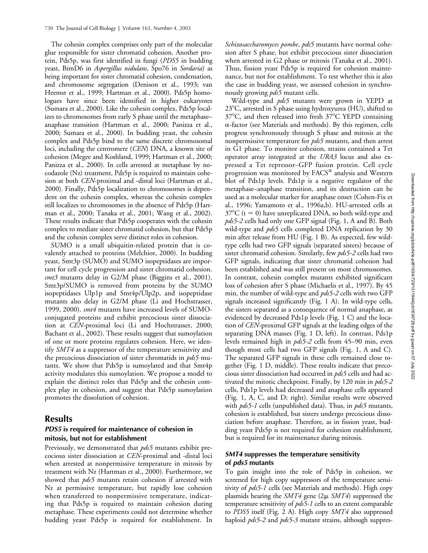The cohesin complex comprises only part of the molecular glue responsible for sister chromatid cohesion. Another protein, Pds5p, was first identified in fungi (*PDS5* in budding yeast, BimD6 in *Aspergillus nidulans*, Spo76 in *Sordaria*) as being important for sister chromatid cohesion, condensation, and chromosome segregation (Denison et al., 1993; van Heemst et al., 1999; Hartman et al., 2000). Pds5p homologues have since been identified in higher eukaryotes (Sumara et al., 2000). Like the cohesin complex, Pds5p localizes to chromosomes from early S phase until the metaphase– anaphase transition (Hartman et al., 2000; Panizza et al., 2000; Sumara et al., 2000). In budding yeast, the cohesin complex and Pds5p bind to the same discrete chromosomal loci, including the centromere (*CEN*) DNA, a known site of cohesion (Megee and Koshland, 1999; Hartman et al., 2000; Panizza et al., 2000). In cells arrested at metaphase by nocodazole (Nz) treatment, Pds5p is required to maintain cohesion at both *CEN*-proximal and -distal loci (Hartman et al., 2000). Finally, Pds5p localization to chromosomes is dependent on the cohesin complex, whereas the cohesin complex still localizes to chromosomes in the absence of Pds5p (Hartman et al., 2000; Tanaka et al., 2001; Wang et al., 2002). These results indicate that Pds5p cooperates with the cohesin complex to mediate sister chromatid cohesion, but that Pds5p and the cohesin complex serve distinct roles in cohesion.

SUMO is a small ubiquitin-related protein that is covalently attached to proteins (Melchior, 2000). In budding yeast, Smt3p (SUMO) and SUMO isopeptidases are important for cell cycle progression and sister chromatid cohesion. *smt3* mutants delay in G2/M phase (Biggins et al., 2001). Smt3p/SUMO is removed from proteins by the SUMO isopeptidases Ulp1p and Smt4p/Ulp2p, and isopeptidase mutants also delay in G2/M phase (Li and Hochstrasser, 1999, 2000). *smt4* mutants have increased levels of SUMOconjugated proteins and exhibit precocious sister dissociation at *CEN*-proximal loci (Li and Hochstrasser, 2000; Bachant et al., 2002). These results suggest that sumoylation of one or more proteins regulates cohesion. Here, we identify *SMT4* as a suppressor of the temperature sensitivity and the precocious dissociation of sister chromatids in *pds5* mutants. We show that Pds5p is sumoylated and that Smt4p activity modulates this sumoylation. We propose a model to explain the distinct roles that Pds5p and the cohesin complex play in cohesion, and suggest that Pds5p sumoylation promotes the dissolution of cohesion.

# **Results**

# *PDS5* **is required for maintenance of cohesion in mitosis, but not for establishment**

Previously, we demonstrated that *pds5* mutants exhibit precocious sister dissociation at *CEN*-proximal and -distal loci when arrested at nonpermissive temperature in mitosis by treatment with Nz (Hartman et al., 2000). Furthermore, we showed that *pds5* mutants retain cohesion if arrested with Nz at permissive temperature, but rapidly lose cohesion when transferred to nonpermissive temperature, indicating that Pds5p is required to maintain cohesion during metaphase. These experiments could not determine whether budding yeast Pds5p is required for establishment. In

*Schizosaccharomyces pombe*, *pds5* mutants have normal cohesion after S phase, but exhibit precocious sister dissociation when arrested in G2 phase or mitosis (Tanaka et al., 2001). Thus, fission yeast Pds5p is required for cohesion maintenance, but not for establishment. To test whether this is also the case in budding yeast, we assessed cohesion in synchronously growing *pds5* mutant cells.

Wild-type and *pds5* mutants were grown in YEPD at 23°C, arrested in S phase using hydroxyurea (HU), shifted to 37°C, and then released into fresh 37°C YEPD containing  $\alpha$ -factor (see Materials and methods). By this regimen, cells progress synchronously through S phase and mitosis at the nonpermissive temperature for *pds5* mutants, and then arrest in G1 phase. To monitor cohesion, strains contained a Tet operator array integrated at the *URA3* locus and also expressed a Tet repressor–GFP fusion protein. Cell cycle progression was monitored by FACS® analysis and Western blot of Pds1p levels. Pds1p is a negative regulator of the metaphase–anaphase transition, and its destruction can be used as a molecular marker for anaphase onset (Cohen-Fix et al., 1996; Yamamoto et al., 1996a,b). HU-arrested cells at  $37^{\circ}$ C (t = 0) have unreplicated DNA, so both wild-type and *pds5-2* cells had only one GFP signal (Fig. 1, A and B). Both wild-type and *pds5* cells completed DNA replication by 30 min after release from HU (Fig. 1 B). As expected, few wildtype cells had two GFP signals (separated sisters) because of sister chromatid cohesion. Similarly, few *pds5-2* cells had two GFP signals, indicating that sister chromatid cohesion had been established and was still present on most chromosomes. In contrast, cohesin complex mutants exhibited significant loss of cohesion after S phase (Michaelis et al., 1997). By 45 min, the number of wild-type and *pds5-2* cells with two GFP signals increased significantly (Fig. 1 A). In wild-type cells, the sisters separated as a consequence of normal anaphase, as evidenced by decreased Pds1p levels (Fig. 1 C) and the location of *CEN*-proximal GFP signals at the leading edges of the separating DNA masses (Fig. 1 D, left). In contrast, Pds1p levels remained high in *pds5-2* cells from 45–90 min, even though most cells had two GFP signals (Fig. 1, A and C). The separated GFP signals in these cells remained close together (Fig. 1 D, middle). These results indicate that precocious sister dissociation had occurred in *pds5* cells and had activated the mitotic checkpoint. Finally, by 120 min in *pds5-2* cells, Pds1p levels had decreased and anaphase cells appeared (Fig. 1, A, C, and D; right). Similar results were observed with *pds5-1* cells (unpublished data). Thus, in *pds5* mutants, cohesion is established, but sisters undergo precocious dissociation before anaphase. Therefore, as in fission yeast, budding yeast Pds5p is not required for cohesion establishment, but is required for its maintenance during mitosis.

# *SMT4* **suppresses the temperature sensitivity of** *pds5* **mutants**

To gain insight into the role of Pds5p in cohesion, we screened for high copy suppressors of the temperature sensitivity of *pds5-1* cells (see Materials and methods). High copy plasmids bearing the *SMT4* gene (2µ *SMT4*) suppressed the temperature sensitivity of *pds5-1* cells to an extent comparable to *PDS5* itself (Fig. 2 A). High copy *SMT4* also suppressed haploid *pds5-2* and *pds5-3* mutant strains, although suppres-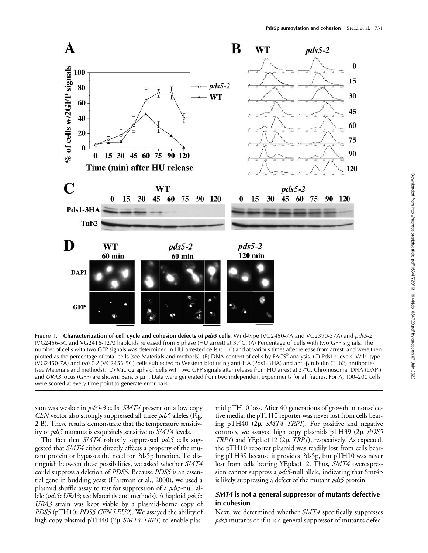

Figure 1. **Characterization of cell cycle and cohesion defects of** *pds5* **cells.** Wild-type (VG2450-7A and VG2390-37A) and *pds5-2* (VG2456-5C and VG2416-12A) haploids released from S phase (HU arrest) at 37°C. (A) Percentage of cells with two GFP signals. The number of cells with two GFP signals was determined in HU-arrested cells  $(t = 0)$  and at various times after release from arrest, and were then plotted as the percentage of total cells (see Materials and methods). (B) DNA content of cells by FACS® analysis. (C) Pds1p levels. Wild-type (VG2450-7A) and *pds5-2* (VG2456-5C) cells subjected to Western blot using anti-HA (Pds1-3HA) and anti-B tubulin (Tub2) antibodies (see Materials and methods). (D) Micrographs of cells with two GFP signals after release from HU arrest at 37°C. Chromosomal DNA (DAPI) and *URA3* locus (GFP) are shown. Bars, 5  $\mu$ m. Data were generated from two independent experiments for all figures. For A, 100–200 cells were scored at every time point to generate error bars.

sion was weaker in *pds5-3* cells. *SMT4* present on a low copy *CEN* vector also strongly suppressed all three *pds5* alleles (Fig. 2 B). These results demonstrate that the temperature sensitivity of *pds5* mutants is exquisitely sensitive to *SMT4* levels.

The fact that *SMT4* robustly suppressed *pds5* cells suggested that *SMT4* either directly affects a property of the mutant protein or bypasses the need for Pds5p function. To distinguish between these possibilities, we asked whether *SMT4* could suppress a deletion of *PDS5.* Because *PDS5* is an essential gene in budding yeast (Hartman et al., 2000), we used a plasmid shuffle assay to test for suppression of a *pds5*-null allele (*pds5*::*URA3*; see Materials and methods). A haploid *pds5*:: *URA3* strain was kept viable by a plasmid-borne copy of *PDS5* (pTH10; *PDS5 CEN LEU2*). We assayed the ability of high copy plasmid pTH40 (2 *SMT4 TRP1*) to enable plasmid pTH10 loss. After 40 generations of growth in nonselective media, the pTH10 reporter was never lost from cells bearing pTH40 (2µ *SMT4 TRP1*). For positive and negative controls, we assayed high copy plasmids pTH39 (2µ PDS5) *TRP1*) and YEplac112 (2 $\mu$  *TRP1*), respectively. As expected, the pTH10 reporter plasmid was readily lost from cells bearing pTH39 because it provides Pds5p, but pTH10 was never lost from cells bearing YEplac112. Thus, *SMT4* overexpression cannot suppress a *pds5*-null allele, indicating that Smt4p is likely suppressing a defect of the mutant *pds5* protein.

### *SMT4* **is not a general suppressor of mutants defective in cohesion**

Next, we determined whether *SMT4* specifically suppresses *pds5* mutants or if it is a general suppressor of mutants defec-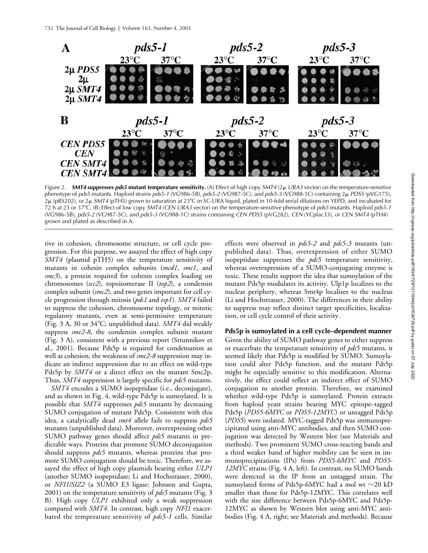

Figure 2. *SMT4* **suppresses** *pds5* **mutant temperature sensitivity.** (A) Effect of high copy *SMT4* (2 *URA3* vector) on the temperature-sensitive phenotype of *pds5* mutants. Haploid strains *pds5-1* (VG986-5B), *pds5-2* (VG987-5C), and *pds5-3* (VG988-1C) containing 2 *PDS5* (pVG175), 2μ (pRS202), or 2μ *SMT4* (pTH5) grown to saturation at 23°C in SC-URA liquid, plated in 10-fold serial dilutions on YEPD, and incubated for 72 h at 23 or 37-C. (B) Effect of low copy *SMT4* (*CEN URA3* vector) on the temperature-sensitive phenotype of *pds5* mutants. Haploid *pds5-1* (VG986-5B), *pds5-2* (VG987-5C), and *pds5-3* (VG988-1C) strains containing *CEN PDS5* (pVG282), *CEN* (YCplac33), or *CEN SMT4* (pTH4) grown and plated as described in A.

tive in cohesion, chromosome structure, or cell cycle progression. For this purpose, we assayed the effect of high copy *SMT4* (plasmid pTH5) on the temperature sensitivity of mutants in cohesin complex subunits (*mcd1*, *smc1*, and *smc3*), a protein required for cohesin complex loading on chromosomes (*scc2*), topoisomerase II (*top2*), a condensin complex subunit (*smc2*), and two genes important for cell cycle progression through mitosis (*pds1* and *esp1*). *SMT4* failed to suppress the cohesion, chromosome topology, or mitotic regulatory mutants, even at semi-permissive temperature (Fig. 3 A, 30 or 34°C; unpublished data). *SMT4* did weakly suppress *smc2-8*, the condensin complex subunit mutant (Fig. 3 A), consistent with a previous report (Strunnikov et al., 2001). Because Pds5p is required for condensation as well as cohesion, the weakness of *smc2-8* suppression may indicate an indirect suppression due to an effect on wild-type Pds5p by *SMT4* or a direct effect on the mutant Smc2p. Thus, *SMT4* suppression is largely specific for *pds5* mutants.

*SMT4* encodes a SUMO isopeptidase (i.e., deconjugase), and as shown in Fig. 4, wild-type Pds5p is sumoylated. It is possible that *SMT4* suppresses *pds5* mutants by decreasing SUMO conjugation of mutant Pds5p. Consistent with this idea, a catalytically dead *smt4* allele fails to suppress *pds5* mutants (unpublished data). Moreover, overexpressing other SUMO pathway genes should affect *pds5* mutants in predictable ways. Proteins that promote SUMO deconjugation should suppress *pds5* mutants, whereas proteins that promote SUMO conjugation should be toxic. Therefore, we assayed the effect of high copy plasmids bearing either *ULP1* (another SUMO isopeptidase; Li and Hochstrasser, 2000), or *NFI1/SIZ2* (a SUMO E3 ligase; Johnson and Gupta, 2001) on the temperature sensitivity of *pds5* mutants (Fig. 3 B). High copy *ULP1* exhibited only a weak suppression compared with *SMT4.* In contrast, high copy *NFI1* exacerbated the temperature sensitivity of *pds5-1* cells. Similar

effects were observed in *pds5-2* and *pds5-3* mutants (unpublished data). Thus, overexpression of either SUMO isopeptidase suppresses the *pds5* temperature sensitivity, whereas overexpression of a SUMO-conjugating enzyme is toxic. These results support the idea that sumoylation of the mutant Pds5p modulates its activity. Ulp1p localizes to the nuclear periphery, whereas Smt4p localizes to the nucleus (Li and Hochstrasser, 2000). The differences in their ability to suppress may reflect distinct target specificities, localization, or cell cycle control of their activity.

### **Pds5p is sumoylated in a cell cycle–dependent manner**

Given the ability of SUMO pathway genes to either suppress or exacerbate the temperature sensitivity of *pds5* mutants, it seemed likely that Pds5p is modified by SUMO. Sumoylation could alter Pds5p function, and the mutant Pds5p might be especially sensitive to this modification. Alternatively, the effect could reflect an indirect effect of SUMO conjugation to another protein. Therefore, we examined whether wild-type Pds5p is sumoylated. Protein extracts from haploid yeast strains bearing MYC epitope–tagged Pds5p (*PDS5-6MYC* or *PDS5-12MYC*) or untagged Pds5p (*PDS5*) were isolated. MYC-tagged Pds5p was immunoprecipitated using anti-MYC antibodies, and then SUMO conjugation was detected by Western blot (see Materials and methods). Two prominent SUMO cross-reacting bands and a third weaker band of higher mobility can be seen in immunoprecipitations (IPs) from *PDS5-6MYC* and *PDS5- 12MYC* strains (Fig. 4 A, left). In contrast, no SUMO bands were detected in the IP from an untagged strain. The sumoylated forms of Pds5p-6MYC had a mol wt  $\sim$ 20 kD smaller than those for Pds5p-12MYC. This correlates well with the size difference between Pds5p-6MYC and Pds5p-12MYC as shown by Western blot using anti-MYC antibodies (Fig. 4 A, right; see Materials and methods). Because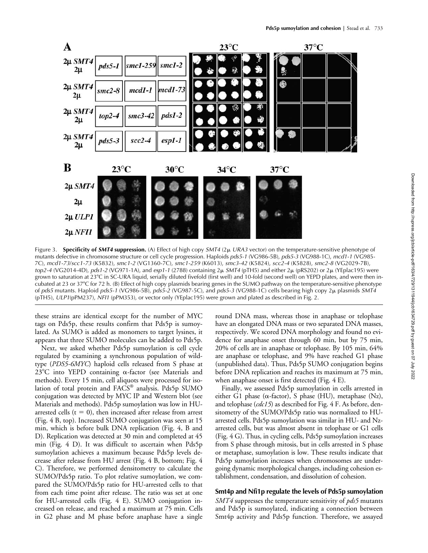

Figure 3. **Specificity of** *SMT4* **suppression.** (A) Effect of high copy *SMT4* (2 *URA3* vector) on the temperature-sensitive phenotype of mutants defective in chromosome structure or cell cycle progression. Haploids *pds5-1* (VG986-5B), *pds5-3* (VG988-1C), *mcd1-1* (VG985- 7C), *mcd1-73*/*scc1-73* (K5832), *smc1-2* (VG1360-7C), *smc1-259* (K6013), *smc3-42* (K5824), *scc2-4* (K5828), *smc2-8* (VG2029-7B), *top2-4* (VG2014-4D), *pds1-2* (VG971-1A), and *esp1-1* (2788) containing 2μ *SMT4* (pTH5) and either 2μ (pRS202) or 2μ (YEplac195) were grown to saturation at 23°C in SC-URA liquid, serially diluted fivefold (first well) and 10-fold (second well) on YEPD plates, and were then incubated at 23 or 37°C for 72 h. (B) Effect of high copy plasmids bearing genes in the SUMO pathway on the temperature-sensitive phenotype of *pds5* mutants. Haploid *pds5-1* (VG986-5B), *pds5-2* (VG987-5C), and *pds5-3* (VG988-1C) cells bearing high copy 2 plasmids *SMT4* (pTH5), *ULP1*(pPM237), *NFI1* (pPM353), or vector only (YEplac195) were grown and plated as described in Fig. 2.

these strains are identical except for the number of MYC tags on Pds5p, these results confirm that Pds5p is sumoylated. As SUMO is added as monomers to target lysines, it appears that three SUMO molecules can be added to Pds5p.

Next, we asked whether Pds5p sumoylation is cell cycle regulated by examining a synchronous population of wildtype (*PDS5-6MYC*) haploid cells released from S phase at  $23^{\circ}$ C into YEPD containing  $\alpha$ -factor (see Materials and methods). Every 15 min, cell aliquots were processed for isolation of total protein and FACS® analysis. Pds5p SUMO conjugation was detected by MYC IP and Western blot (see Materials and methods). Pds5p sumoylation was low in HUarrested cells ( $t = 0$ ), then increased after release from arrest (Fig. 4 B, top). Increased SUMO conjugation was seen at 15 min, which is before bulk DNA replication (Fig. 4, B and D). Replication was detected at 30 min and completed at 45 min (Fig. 4 D). It was difficult to ascertain when Pds5p sumoylation achieves a maximum because Pds5p levels decrease after release from HU arrest (Fig. 4 B, bottom; Fig. 4 C). Therefore, we performed densitometry to calculate the SUMO/Pds5p ratio. To plot relative sumoylation, we compared the SUMO/Pds5p ratio for HU-arrested cells to that from each time point after release. The ratio was set at one for HU-arrested cells (Fig. 4 E). SUMO conjugation increased on release, and reached a maximum at 75 min. Cells in G2 phase and M phase before anaphase have a single round DNA mass, whereas those in anaphase or telophase have an elongated DNA mass or two separated DNA masses, respectively. We scored DNA morphology and found no evidence for anaphase onset through 60 min, but by 75 min, 20% of cells are in anaphase or telophase. By 105 min, 64% are anaphase or telophase, and 9% have reached G1 phase (unpublished data). Thus, Pds5p SUMO conjugation begins before DNA replication and reaches its maximum at 75 min, when anaphase onset is first detected (Fig. 4 E).

Finally, we assessed Pds5p sumoylation in cells arrested in either G1 phase ( $\alpha$ -factor), S phase (HU), metaphase (Nz), and telophase (*cdc15*) as described for Fig. 4 F. As before, densitometry of the SUMO/Pds5p ratio was normalized to HUarrested cells. Pds5p sumoylation was similar in HU- and Nzarrested cells, but was almost absent in telophase or G1 cells (Fig. 4 G). Thus, in cycling cells, Pds5p sumoylation increases from S phase through mitosis, but in cells arrested in S phase or metaphase, sumoylation is low. These results indicate that Pds5p sumoylation increases when chromosomes are undergoing dynamic morphological changes, including cohesion establishment, condensation, and dissolution of cohesion.

# **Smt4p and Nfi1p regulate the levels of Pds5p sumoylation**

*SMT4* suppresses the temperature sensitivity of *pds5* mutants and Pds5p is sumoylated, indicating a connection between Smt4p activity and Pds5p function. Therefore, we assayed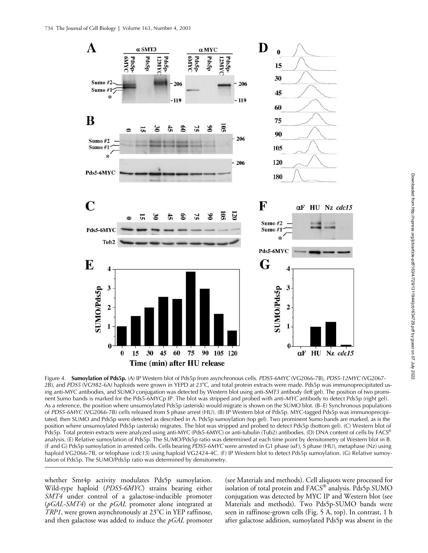

Figure 4. **Sumoylation of Pds5p.** (A) IP Western blot of Pds5p from asynchronous cells. *PDS5-6MYC* (VG2066-7B), *PDS5-12MYC* (VG2067- 2B), and *PDS5* (VG982-6A) haploids were grown in YEPD at 23°C, and total protein extracts were made. Pds5p was immunoprecipitated using anti-MYC antibodies, and SUMO conjugation was detected by Western blot using anti-*SMT3* antibody (left gel). The position of two prominent Sumo bands is marked for the Pds5-6MYCp IP. The blot was stripped and probed with anti-*MYC* antibody to detect Pds5p (right gel). As a reference, the position where unsumoylated Pds5p (asterisk) would migrate is shown on the SUMO blot. (B–E) Synchronous populations of *PDS5-6MYC* (VG2066-7B) cells released from S phase arrest (HU). (B) IP Western blot of Pds5p. MYC-tagged Pds5p was immunoprecipitated, then SUMO and Pds5p were detected as described in A. Pds5p sumoylation (top gel). Two prominent Sumo bands are marked, as is the position where unsumoylated Pds5p (asterisk) migrates. The blot was stripped and probed to detect Pds5p (bottom gel). (C) Western blot of Pds5p. Total protein extracts were analyzed using anti-MYC (Pds5-6MYC) or anti-tubulin (Tub2) antibodies. (D) DNA content of cells by FACS® analysis. (E) Relative sumoylation of Pds5p. The SUMO/Pds5p ratio was determined at each time point by densitometry of Western blot in B. (F and G) Pds5p sumoylation in arrested cells. Cells bearing *PDS5-6MYC* were arrested in G1 phase (αF), S phase (HU), metaphase (Nz) using haploid VG2066-7B, or telophase (*cdc15*) using haploid VG2424-4C. (F) IP Western blot to detect Pds5p sumoylation. (G) Relative sumoylation of Pds5p. The SUMO/Pds5p ratio was determined by densitometry.

whether Smt4p activity modulates Pds5p sumoylation. Wild-type haploid (*PDS5-6MYC*) strains bearing either *SMT4* under control of a galactose-inducible promoter (*pGAL-SMT4*) or the *pGAL* promoter alone integrated at TRP1, were grown asynchronously at 23°C in YEP raffinose, and then galactose was added to induce the *pGAL* promoter

(see Materials and methods). Cell aliquots were processed for isolation of total protein and FACS® analysis. Pds5p SUMO conjugation was detected by MYC IP and Western blot (see Materials and methods). Two Pds5p-SUMO bands were seen in raffinose-grown cells (Fig. 5 A, top). In contrast, 1 h after galactose addition, sumoylated Pds5p was absent in the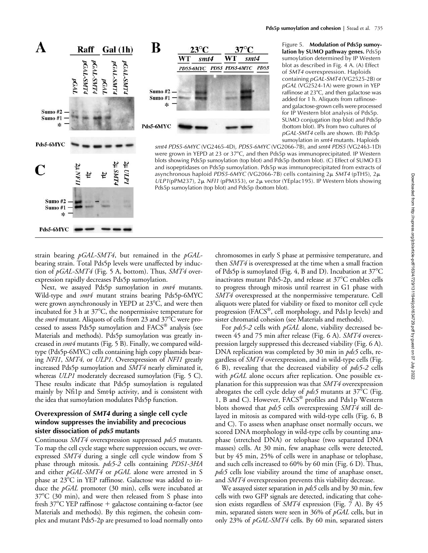

Figure 5. **Modulation of Pds5p sumoylation by SUMO pathway genes.** Pds5p sumoylation determined by IP Western blot as described in Fig. 4 A. (A) Effect of *SMT4* overexpression. Haploids containing *pGAL-SMT4* (VG2525-2B) or *pGAL* (VG2524-1A) were grown in YEP raffinose at 23°C, and then galactose was added for 1 h. Aliquots from raffinoseand galactose-grown cells were processed for IP Western blot analysis of Pds5p. SUMO conjugation (top blot) and Pds5p (bottom blot). IPs from two cultures of *pGAL-SMT4* cells are shown. (B) Pds5p sumoylation in *smt4* mutants. Haploids

*smt4 PDS5-6MYC* (VG2465-4D), *PDS5-6MYC* (VG2066-7B), and *smt4 PDS5* (VG2463-1D) were grown in YEPD at 23 or 37°C, and then Pds5p was immunoprecipitated. IP Western blots showing Pds5p sumoylation (top blot) and Pds5p (bottom blot). (C) Effect of SUMO E3 and isopeptidases on Pds5p sumoylation. Pds5p was immunoprecipitated from extracts of asynchronous haploid *PDS5-6MYC* (VG2066-7B) cells containing 2μ *SMT4* (pTH5), 2μ  $ULPI(pPM237)$ ,  $2\mu$  *NFI1* (pPM353), or  $2\mu$  vector (YEplac195). IP Western blots showing Pds5p sumoylation (top blot) and Pds5p (bottom blot).

strain bearing *pGAL-SMT4*, but remained in the *pGAL*bearing strain. Total Pds5p levels were unaffected by induction of *pGAL-SMT4* (Fig. 5 A, bottom). Thus, *SMT4* overexpression rapidly decreases Pds5p sumoylation.

Sumo#2 Sumo #1 sk.

Pds5-6MYC

Next, we assayed Pds5p sumoylation in *smt4* mutants. Wild-type and *smt4* mutant strains bearing Pds5p-6MYC were grown asynchronously in YEPD at 23°C, and were then incubated for 3 h at 37°C, the nonpermissive temperature for the *smt4* mutant. Aliquots of cells from 23 and 37°C were processed to assess Pds5p sumoylation and FACS® analysis (see Materials and methods). Pds5p sumoylation was greatly increased in *smt4* mutants (Fig. 5 B). Finally, we compared wildtype (Pds5p-6MYC) cells containing high copy plasmids bearing *NFI1*, *SMT4,* or *ULP1*. Overexpression of *NFI1* greatly increased Pds5p sumoylation and *SMT4* nearly eliminated it, whereas *ULP1* moderately decreased sumoylation (Fig. 5 C). These results indicate that Pds5p sumoylation is regulated mainly by Nfi1p and Smt4p activity, and is consistent with the idea that sumoylation modulates Pds5p function.

# **Overexpression of** *SMT4* **during a single cell cycle window suppresses the inviability and precocious sister dissociation of** *pds5* **mutants**

Continuous *SMT4* overexpression suppressed *pds5* mutants. To map the cell cycle stage where suppression occurs, we overexpressed *SMT4* during a single cell cycle window from S phase through mitosis. *pds5-2* cells containing *PDS1-3HA* and either *pGAL-SMT4* or *pGAL* alone were arrested in S phase at 23°C in YEP raffinose. Galactose was added to induce the *pGAL* promoter (30 min), cells were incubated at 37°C (30 min), and were then released from S phase into fresh 37°C YEP raffinose + galactose containing  $\alpha$ -factor (see Materials and methods). By this regimen, the cohesin complex and mutant Pds5-2p are presumed to load normally onto

chromosomes in early S phase at permissive temperature, and then *SMT4* is overexpressed at the time when a small fraction of Pds5p is sumoylated (Fig. 4, B and D). Incubation at 37°C  $\,$ inactivates mutant Pds5-2p, and release at 37°C enables cells to progress through mitosis until rearrest in G1 phase with *SMT4* overexpressed at the nonpermissive temperature. Cell aliquots were plated for viability or fixed to monitor cell cycle progression (FACS®, cell morphology, and Pds1p levels) and sister chromatid cohesion (see Materials and methods).

For *pds5-2* cells with *pGAL* alone, viability decreased between 45 and 75 min after release (Fig. 6 A). *SMT4* overexpression largely suppressed this decreased viability (Fig. 6 A). DNA replication was completed by 30 min in *pds5* cells, regardless of *SMT4* overexpression, and in wild-type cells (Fig. 6 B), revealing that the decreased viability of *pds5-2* cells with *pGAL* alone occurs after replication. One possible explanation for this suppression was that *SMT4* overexpression abrogates the cell cycle delay of *pds5* mutants at 37°C (Fig. 1, B and C). However, FACS® profiles and Pds1p Western blots showed that *pds5* cells overexpressing *SMT4* still delayed in mitosis as compared with wild-type cells (Fig. 6, B and C). To assess when anaphase onset normally occurs, we scored DNA morphology in wild-type cells by counting anaphase (stretched DNA) or telophase (two separated DNA masses) cells. At 30 min, few anaphase cells were detected, but by 45 min, 25% of cells were in anaphase or telophase, and such cells increased to 60% by 60 min (Fig. 6 D). Thus, *pds5* cells lose viability around the time of anaphase onset, and *SMT4* overexpression prevents this viability decrease.

We assayed sister separation in *pds5* cells and by 30 min, few cells with two GFP signals are detected, indicating that cohesion exists regardless of *SMT4* expression (Fig. 7 A). By 45 min, separated sisters were seen in 36% of *pGAL* cells, but in only 23% of *pGAL-SMT4* cells. By 60 min, separated sisters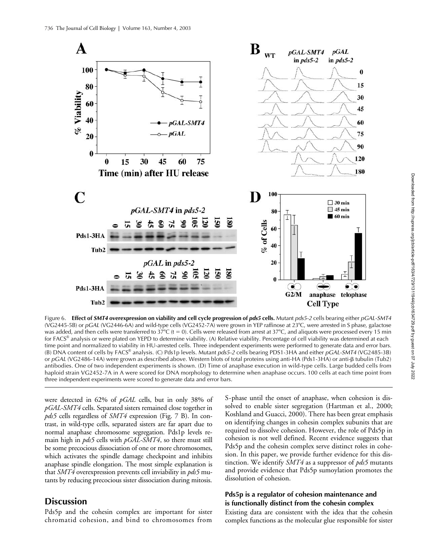

Figure 6. **Effect of SMT4 overexpression on viability and cell cycle progression of** *pds5* **cells. Mutant** *pds5-2* **cells bearing either** *pGAL-SMT4* (VG2445-5B) or *pGAL* (VG2446-6A) and wild-type cells (VG2452-7A) were grown in YEP raffinose at 23°C, were arrested in S phase, galactose was added, and then cells were transferred to 37°C (t = 0). Cells were released from arrest at 37°C, and aliquots were processed every 15 min for FACS® analysis or were plated on YEPD to determine viability. (A) Relative viability. Percentage of cell viability was determined at each time point and normalized to viability in HU-arrested cells. Three independent experiments were performed to generate data and error bars. (B) DNA content of cells by FACS® analysis. (C) Pds1p levels. Mutant *pds5-2* cells bearing PDS1-3HA and either *pGAL-SMT4* (VG2485-3B) or pGAL (VG2486-14A) were grown as described above. Western blots of total proteins using anti-HA (Pds1-3HA) or anti-ß tubulin (Tub2) antibodies. One of two independent experiments is shown. (D) Time of anaphase execution in wild-type cells. Large budded cells from haploid strain VG2452-7A in A were scored for DNA morphology to determine when anaphase occurs. 100 cells at each time point from three independent experiments were scored to generate data and error bars.

were detected in 62% of *pGAL* cells, but in only 38% of *pGAL-SMT4* cells. Separated sisters remained close together in *pds5* cells regardless of *SMT4* expression (Fig. 7 B). In contrast, in wild-type cells, separated sisters are far apart due to normal anaphase chromosome segregation. Pds1p levels remain high in *pds5* cells with *pGAL-SMT4*, so there must still be some precocious dissociation of one or more chromosomes, which activates the spindle damage checkpoint and inhibits anaphase spindle elongation. The most simple explanation is that *SMT4* overexpression prevents cell inviability in *pds5* mutants by reducing precocious sister dissociation during mitosis.

# **Discussion**

Pds5p and the cohesin complex are important for sister chromatid cohesion, and bind to chromosomes from

S-phase until the onset of anaphase, when cohesion is dissolved to enable sister segregation (Hartman et al., 2000; Koshland and Guacci, 2000). There has been great emphasis on identifying changes in cohesin complex subunits that are required to dissolve cohesion. However, the role of Pds5p in cohesion is not well defined. Recent evidence suggests that Pds5p and the cohesin complex serve distinct roles in cohesion. In this paper, we provide further evidence for this distinction. We identify *SMT4* as a suppressor of *pds5* mutants and provide evidence that Pds5p sumoylation promotes the dissolution of cohesion.

### **Pds5p is a regulator of cohesion maintenance and is functionally distinct from the cohesin complex**

Existing data are consistent with the idea that the cohesin complex functions as the molecular glue responsible for sister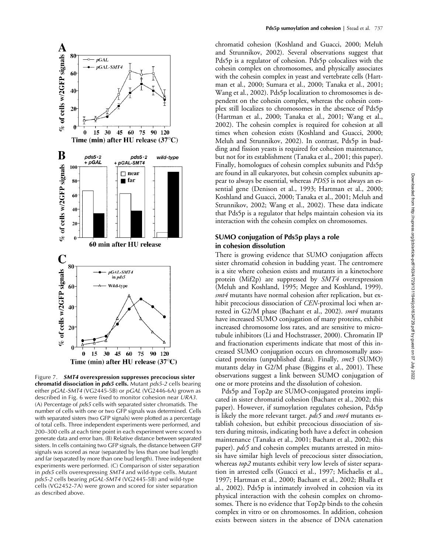

Figure 7. *SMT4* **overexpression suppresses precocious sister chromatid dissociation in** *pds5* **cells.** Mutant *pds5-2* cells bearing either *pGAL-SMT4* (VG2445-5B) or *pGAL* (VG2446-6A) grown as described in Fig. 6 were fixed to monitor cohesion near *URA3*. (A) Percentage of *pds5* cells with separated sister chromatids. The number of cells with one or two GFP signals was determined. Cells with separated sisters (two GFP signals) were plotted as a percentage of total cells. Three independent experiments were performed, and 200–300 cells at each time point in each experiment were scored to generate data and error bars. (B) Relative distance between separated sisters. In cells containing two GFP signals, the distance between GFP signals was scored as near (separated by less than one bud length) and far (separated by more than one bud length). Three independent experiments were performed. (C) Comparison of sister separation in *pds5* cells overexpressing *SMT4* and wild-type cells. Mutant *pds5-2* cells bearing *pGAL-SMT4* (VG2445-5B) and wild-type cells (VG2452-7A) were grown and scored for sister separation as described above.

chromatid cohesion (Koshland and Guacci, 2000; Meluh and Strunnikov, 2002). Several observations suggest that Pds5p is a regulator of cohesion. Pds5p colocalizes with the cohesin complex on chromosomes, and physically associates with the cohesin complex in yeast and vertebrate cells (Hartman et al., 2000; Sumara et al., 2000; Tanaka et al., 2001; Wang et al., 2002). Pds5p localization to chromosomes is dependent on the cohesin complex, whereas the cohesin complex still localizes to chromosomes in the absence of Pds5p (Hartman et al., 2000; Tanaka et al., 2001; Wang et al., 2002). The cohesin complex is required for cohesion at all times when cohesion exists (Koshland and Guacci, 2000; Meluh and Strunnikov, 2002). In contrast, Pds5p in budding and fission yeasts is required for cohesion maintenance, but not for its establishment (Tanaka et al., 2001; this paper). Finally, homologues of cohesin complex subunits and Pds5p are found in all eukaryotes, but cohesin complex subunits appear to always be essential, whereas *PDS5* is not always an essential gene (Denison et al., 1993; Hartman et al., 2000; Koshland and Guacci, 2000; Tanaka et al., 2001; Meluh and Strunnikov, 2002; Wang et al., 2002). These data indicate that Pds5p is a regulator that helps maintain cohesion via its interaction with the cohesin complex on chromosomes.

## **SUMO conjugation of Pds5p plays a role in cohesion dissolution**

There is growing evidence that SUMO conjugation affects sister chromatid cohesion in budding yeast. The centromere is a site where cohesion exists and mutants in a kinetochore protein (Mif2p) are suppressed by *SMT4* overexpression (Meluh and Koshland, 1995; Megee and Koshland, 1999). *smt4* mutants have normal cohesion after replication, but exhibit precocious dissociation of *CEN*-proximal loci when arrested in G2/M phase (Bachant et al., 2002). *smt4* mutants have increased SUMO conjugation of many proteins, exhibit increased chromosome loss rates, and are sensitive to microtubule inhibitors (Li and Hochstrasser, 2000). Chromatin IP and fractionation experiments indicate that most of this increased SUMO conjugation occurs on chromosomally associated proteins (unpublished data). Finally, *smt3* (SUMO) mutants delay in G2/M phase (Biggins et al., 2001). These observations suggest a link between SUMO conjugation of one or more proteins and the dissolution of cohesion.

Pds5p and Top2p are SUMO-conjugated proteins implicated in sister chromatid cohesion (Bachant et al., 2002; this paper). However, if sumoylation regulates cohesion, Pds5p is likely the more relevant target. *pds5* and *smt4* mutants establish cohesion, but exhibit precocious dissociation of sisters during mitosis, indicating both have a defect in cohesion maintenance (Tanaka et al., 2001; Bachant et al., 2002; this paper). *pds5* and cohesin complex mutants arrested in mitosis have similar high levels of precocious sister dissociation, whereas *top2* mutants exhibit very low levels of sister separation in arrested cells (Guacci et al., 1997; Michaelis et al., 1997; Hartman et al., 2000; Bachant et al., 2002; Bhalla et al., 2002). Pds5p is intimately involved in cohesion via its physical interaction with the cohesin complex on chromosomes. There is no evidence that Top2p binds to the cohesin complex in vitro or on chromosomes. In addition, cohesion exists between sisters in the absence of DNA catenation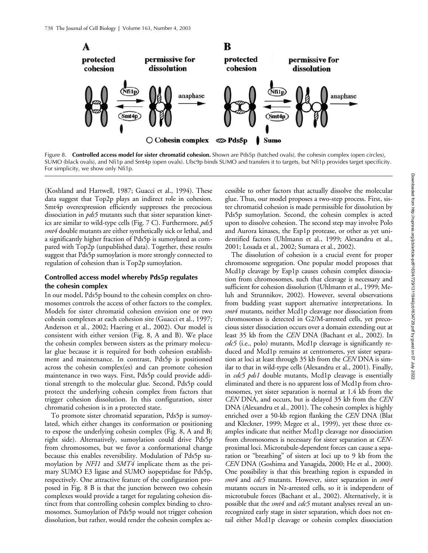

Figure 8. **Controlled access model for sister chromatid cohesion.** Shown are Pds5p (hatched ovals), the cohesin complex (open circles), SUMO (black ovals), and Nfi1p and Smt4p (open ovals). Ubc9p binds SUMO and transfers it to targets, but Nfi1p provides target specificity. For simplicity, we show only Nfi1p.

(Koshland and Hartwell, 1987; Guacci et al., 1994). These data suggest that Top2p plays an indirect role in cohesion. Smt4p overexpression efficiently suppresses the precocious dissociation in *pds5* mutants such that sister separation kinetics are similar to wild-type cells (Fig. 7 C). Furthermore, *pds5 smt4* double mutants are either synthetically sick or lethal, and a significantly higher fraction of Pds5p is sumoylated as compared with Top2p (unpublished data). Together, these results suggest that Pds5p sumoylation is more strongly connected to regulation of cohesion than is Top2p sumoylation.

# **Controlled access model whereby Pds5p regulates the cohesin complex**

In our model, Pds5p bound to the cohesin complex on chromosomes controls the access of other factors to the complex. Models for sister chromatid cohesion envision one or two cohesin complexes at each cohesion site (Guacci et al., 1997; Anderson et al., 2002; Haering et al., 2002). Our model is consistent with either version (Fig. 8, A and B). We place the cohesin complex between sisters as the primary molecular glue because it is required for both cohesion establishment and maintenance. In contrast, Pds5p is positioned across the cohesin complex(es) and can promote cohesion maintenance in two ways. First, Pds5p could provide additional strength to the molecular glue. Second, Pds5p could protect the underlying cohesin complex from factors that trigger cohesion dissolution. In this configuration, sister chromatid cohesion is in a protected state.

To promote sister chromatid separation, Pds5p is sumoylated, which either changes its conformation or positioning to expose the underlying cohesin complex (Fig. 8, A and B; right side). Alternatively, sumoylation could drive Pds5p from chromosomes, but we favor a conformational change because this enables reversibility. Modulation of Pds5p sumoylation by *NFI1* and *SMT4* implicate them as the primary SUMO E3 ligase and SUMO isopeptidase for Pds5p, respectively. One attractive feature of the configuration proposed in Fig. 8 B is that the junction between two cohesin complexes would provide a target for regulating cohesion distinct from that controlling cohesin complex binding to chromosomes. Sumoylation of Pds5p would not trigger cohesion dissolution, but rather, would render the cohesin complex accessible to other factors that actually dissolve the molecular glue. Thus, our model proposes a two-step process. First, sister chromatid cohesion is made permissible for dissolution by Pds5p sumoylation. Second, the cohesin complex is acted upon to dissolve cohesion. The second step may involve Polo and Aurora kinases, the Esp1p protease, or other as yet unidentified factors (Uhlmann et al., 1999; Alexandru et al., 2001; Losada et al., 2002; Sumara et al., 2002).

The dissolution of cohesion is a crucial event for proper chromosome segregation. One popular model proposes that Mcd1p cleavage by Esp1p causes cohesin complex dissociation from chromosomes, such that cleavage is necessary and sufficient for cohesion dissolution (Uhlmann et al., 1999; Meluh and Strunnikov, 2002). However, several observations from budding yeast support alternative interpretations. In *smt4* mutants, neither Mcd1p cleavage nor dissociation from chromosomes is detected in G2/M-arrested cells, yet precocious sister dissociation occurs over a domain extending out at least 35 kb from the *CEN* DNA (Bachant et al., 2002). In *cdc5* (i.e., polo) mutants, Mcd1p cleavage is significantly reduced and Mcd1p remains at centromeres, yet sister separation at loci at least through 35 kb from the *CEN* DNA is similar to that in wild-type cells (Alexandru et al., 2001). Finally, in *cdc5 pds1* double mutants, Mcd1p cleavage is essentially eliminated and there is no apparent loss of Mcd1p from chromosomes, yet sister separation is normal at 1.4 kb from the *CEN* DNA, and occurs, but is delayed 35 kb from the *CEN* DNA (Alexandru et al., 2001). The cohesin complex is highly enriched over a 50-kb region flanking the *CEN* DNA (Blat and Kleckner, 1999; Megee et al., 1999), yet these three examples indicate that neither Mcd1p cleavage nor dissociation from chromosomes is necessary for sister separation at *CEN*proximal loci. Microtubule-dependent forces can cause a separation or "breathing" of sisters at loci up to 9 kb from the *CEN* DNA (Goshima and Yanagida, 2000; He et al., 2000). One possibility is that this breathing region is expanded in *smt4* and *cdc5* mutants. However, sister separation in *smt4* mutants occurs in Nz-arrested cells, so it is independent of microtubule forces (Bachant et al., 2002). Alternatively, it is possible that the *smt4* and *cdc5* mutant analyses reveal an unrecognized early stage in sister separation, which does not entail either Mcd1p cleavage or cohesin complex dissociation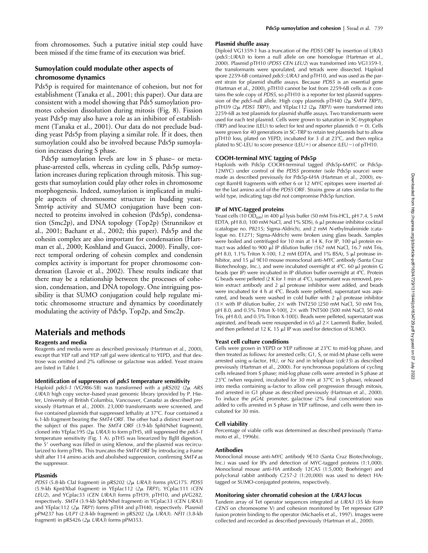from chromosomes. Such a putative initial step could have been missed if the time frame of its execution was brief.

# **Sumoylation could modulate other aspects of chromosome dynamics**

Pds5p is required for maintenance of cohesion, but not for establishment (Tanaka et al., 2001; this paper). Our data are consistent with a model showing that Pds5 sumoylation promotes cohesion dissolution during mitosis (Fig. 8). Fission yeast Pds5p may also have a role as an inhibitor of establishment (Tanaka et al., 2001). Our data do not preclude budding yeast Pds5p from playing a similar role. If it does, then sumoylation could also be involved because Pds5p sumoylation increases during S phase.

Pds5p sumoylation levels are low in S phase– or metaphase-arrested cells, whereas in cycling cells, Pds5p sumoylation increases during replication through mitosis. This suggests that sumoylation could play other roles in chromosome morphogenesis. Indeed, sumoylation is implicated in multiple aspects of chromosome structure in budding yeast. Smt4p activity and SUMO conjugation have been connected to proteins involved in cohesion (Pds5p), condensation (Smc2p), and DNA topology (Top2p) (Strunnikov et al., 2001; Bachant et al., 2002; this paper). Pds5p and the cohesin complex are also important for condensation (Hartman et al., 2000; Koshland and Guacci, 2000). Finally, correct temporal ordering of cohesin complex and condensin complex activity is important for proper chromosome condensation (Lavoie et al., 2002). These results indicate that there may be a relationship between the processes of cohesion, condensation, and DNA topology. One intriguing possibility is that SUMO conjugation could help regulate mitotic chromosome structure and dynamics by coordinately modulating the activity of Pds5p, Top2p, and Smc2p.

# **Materials and methods**

### **Reagents and media**

Reagents and media were as described previously (Hartman et al., 2000), except that YEP raff and YEP raff gal were identical to YEPD, and that dextrose was omitted and 2% raffinose or galactose was added. Yeast strains are listed in Table I.

### **Identification of suppressors of** *pds5* **temperature sensitivity**

Haploid *pds5-1* (VG986-5B) was transformed with a pRS202 (2µ ARS *URA3*) high copy vector–based yeast genomic library (provided by P. Hieter, University of British Columbia, Vancouver, Canada) as described previously (Hartman et al., 2000). 23,000 transformants were screened, and five contained plasmids that suppressed lethality at 37-C. Four contained a 6.1-kb fragment bearing the *SMT4* ORF. The other had a distinct insert not the subject of this paper. The *SMT4* ORF (3.9-kb SphI/NheI fragment), cloned into YEplac195 (2 *URA3*) to form pTH5, still suppressed the *pds5-1* temperature sensitivity (Fig. 1 A). pTH5 was linearized by BglII digestion, the 5' overhang was filled in using Klenow, and the plasmid was recircularized to form pTH6. This truncates the *SMT4* ORF by introducing a frame shift after 114 amino acids and abolished suppression, confirming *SMT4* as the suppressor.

### **Plasmids**

*PDS5* (5.8-kb ClaI fragment) in pRS202 (2µ URA3) forms pVG175. *PDS5* (5.9-kb KpnI/XbaI fragment) in YEplac112 (*2 TRP1*), YCplac111 (*CEN LEU2*), and YCplac33 (*CEN URA3*) forms pTH39, pTH10, and pVG282, respectively. *SMT4* (3.9-kb SphI/NheI fragment) in YCplac33 (*CEN URA3*) and YEplac112  $(2\mu \text{ TRP1})$  forms pTH4 and pTH40, respectively. Plasmid pPM237 has *ULP1* (2.8-kb fragment) in pRS202 (*2 URA3*). *NFI1* (3.8-kb fragment) in pRS426  $(2\mu \text{ URA3})$  forms pPM353.

#### **Plasmid shuffle assay**

Diploid VG1359-1 has a truncation of the *PDS5* ORF by insertion of URA3 (*pds5*::*URA3*) to form a null allele on one homologue (Hartman et al., 2000). Plasmid pTH10 (*PDS5 CEN LEU2*) was transformed into VG1359-1, the transformants were sporulated, and tetrads were dissected. Haploid spore 2259-6B contained *pds5*::*URA3* and pTH10, and was used as the parent strain for plasmid shuffle assays. Because *PDS5* is an essential gene (Hartman et al., 2000), pTH10 cannot be lost from 2259-6B cells as it contains the sole copy of *PDS5*, so pTH10 is a reporter for test plasmid suppression of the *pds5*-null allele. High copy plasmids pTH40 (2µ SMT4 TRP1), pTH39 (2 *PDS5 TRP1*), and YEplac112 (2 *TRP1*) were transformed into 2259-6B as test plasmids for plasmid shuffle assays. Two transformants were used for each test plasmid. Cells were grown to saturation in SC-tryptophan (TRP) and leucine (LEU) to select for test and reporter plasmids ( $t = 0$ ). Cells were grown for 40 generations in SC-TRP to retain test plasmids but to allow pTH10 loss, plated on YEPD, incubated for 3 d at 23°C, and then replica plated to SC-LEU to score presence (LEU+) or absence (LEU-) of pTH10.

### **COOH-terminal MYC tagging of Pds5p**

Haploids with Pds5p COOH-terminal tagged (Pds5p-6MYC or Pds5p-12MYC) under control of the *PDS5* promoter (sole Pds5p source) were made as described previously for Pds5p-6HA (Hartman et al., 2000), except BamHI fragments with either 6 or 12 MYC epitopes were inserted after the last amino acid of the *PDS5* ORF. Strains grew at rates similar to the wild type, indicating tags did not compromise Pds5p function.

### **IP of MYC-tagged proteins**

Yeast cells (10  $\overline{OD}_{600}$ ) in 400 µl lysis buffer (50 mM Tris-HCL, pH 7.4, 5 mM EDTA, pH 8.0, 100 mM NaCl, and 1% SDS), 6 µl protease inhibitor cocktail (catalogue no. P8215; Sigma-Aldrich), and 2 mM *N*-ethylmaleimide (catalogue no. E1271; Sigma-Aldrich) were broken using glass beads. Samples were boiled and centrifuged for 10 min at 14 K. For IP, 100 µl protein extract was added to 900  $\mu$  IP dilution buffer (167 mM NaCl, 16.7 mM Tris, pH 8.0, 1.1% Triton X-100, 1.2 mM EDTA, and 1% BSA), 5 µl protease inhibitor, and 15 µl 9E10 mouse monoclonal anti-MYC antibody (Santa Cruz Biotechnology, Inc.), and were incubated overnight at 4°C. 60 µl protein G beads (per IP) were incubated in IP dilution buffer overnight at 4°C. Protein G beads were pelleted (2 K for 1 min at  $4^{\circ}$ C), supernatant was removed, protein extract antibody and  $2 \mu l$  protease inhibitor were added, and beads were incubated for 4 h at 4°C. Beads were pelleted, supernatant was aspirated, and beads were washed in cold buffer with  $2 \mu l$  protease inhibitor  $(1\times$  with IP dilution buffer, 2 $\times$  with TNT250 [250 mM NaCl, 50 mM Tris, pH 8.0, and 0.5% Triton X-100], 2× with TNT500 [500 mM NaCl, 50 mM Tris, pH 8.0, and 0.5% Triton X-100]). Beads were pelleted, supernatant was aspirated, and beads were resuspended in 65  $\mu$ l 2 $\times$  Laemmli Buffer, boiled, and then pelleted at 12 K. 15  $\mu$ l IP was used for detection of SUMO.

### **Yeast cell culture conditions**

Cells were grown in YEPD or YEP raffinose at 23°C to mid-log phase, and then treated as follows: for arrested cells; G1, S, or mid-M phase cells were arrested using  $\alpha$ -factor, HU, or Nz and in telophase ( $cdc15$ ) as described previously (Hartman et al., 2000). For synchronous populations of cycling cells released from S phase; mid-log phase cells were arrested in S phase at 23°C (when required, incubated for 30 min at 37°C in S phase), released into media containing  $\alpha$ -factor to allow cell progression through mitosis, and arrested in G1 phase as described previously (Hartman et al., 2000). To induce the *pGAL* promoter, galactose (2% final concentration) was added to cells arrested in S phase in YEP raffinose, and cells were then incubated for 30 min.

### **Cell viability**

Percentage of viable cells was determined as described previously (Yamamoto et al., 1996b).

### **Antibodies**

Monoclonal mouse anti-MYC antibody 9E10 (Santa Cruz Biotechnology, Inc.) was used for IPs and detection of MYC-tagged proteins (1:1,000). Monoclonal mouse anti-HA antibody 12CA5 (1:5,000; Boehringer) and polyclonal rabbit antibody C257-2 (1:20,000) was used to detect HAtagged or SUMO-conjugated proteins, respectively.

### **Monitoring sister chromatid cohesion at the** *URA3* **locus**

Tandem array of Tet operator sequences integrated at *URA3* (35 kb from *CEN5* on chromosome V) and cohesion monitored by Tet repressor GFP fusion protein binding to the operator (Michaelis et al., 1997). Images were collected and recorded as described previously (Hartman et al., 2000).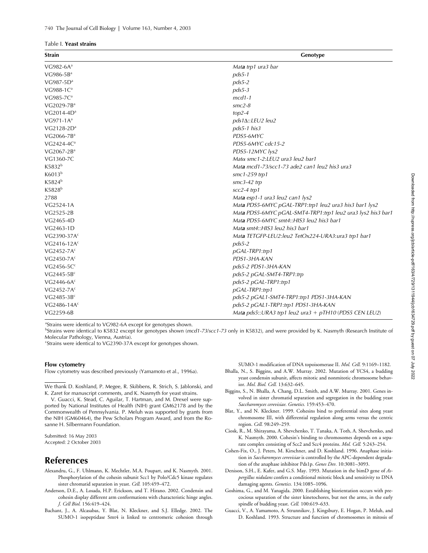#### Table I. **Yeast strains**

| <b>Strain</b>           | Genotype                                                    |
|-------------------------|-------------------------------------------------------------|
| VG982-6 $A^a$           | Mata trp1 ura3 bar                                          |
| $VG986-5Ba$             | $pds5-1$                                                    |
| $VG987-5Da$             | $pds5-2$                                                    |
| VG988-1C <sup>a</sup>   | $pds5-3$                                                    |
| $VG985-7Ca$             | $mcd1-1$                                                    |
| VG2029-7B <sup>a</sup>  | $smc2-8$                                                    |
| $VG2014-4Da$            | $top2-4$                                                    |
| $VG971-1Aa$             | pds1∆::LEU2 leu2                                            |
| $VG2128-2Da$            | $pds5$ -1 his3                                              |
| VG2066-7B <sup>a</sup>  | PDS5-6MYC                                                   |
| $VG2424-4Ca$            | PDS5-6MYC cdc15-2                                           |
| $VG2067-2Ba$            | PDS5-12MYC lys2                                             |
| VG1360-7C               | Matα smc1-2:LEU2 ura3 leu2 bar1                             |
| K5832 <sup>b</sup>      | Mata mcd1-73/scc1-73 ade2 can1 leu2 his3 ura3               |
| K6013 <sup>b</sup>      | $smc1-259$ trp1                                             |
| K5824 <sup>b</sup>      | $smc3-42$ trp                                               |
| K5828 <sup>b</sup>      | $scc2-4$ trp1                                               |
| 2788                    | Mata esp1-1 ura3 leu2 can1 lys2                             |
| VG2524-1A               | Mata PDS5-6MYC pGAL-TRP1:trp1 leu2 ura3 his3 bar1 lys2      |
| VG2525-2B               | Mata PDS5-6MYC pGAL-SMT4-TRP1:trp1 leu2 ura3 lys2 his3 bar1 |
| VG2465-4D               | Mata PDS5-6MYC smt4::HIS3 leu2 his3 bar1                    |
| VG2463-1D               | Mata smt4:: HIS3 leu2 his3 bar1                             |
| VG2390-37A <sup>c</sup> | Mata TETGFP-LEU2:leu2 TetOx224-URA3:ura3 trp1 bar1          |
| VG2416-12 $Ac$          | $pds5-2$                                                    |
| $VG2452-7Ac$            | pGAL-TRP1:trp1                                              |
| VG2450-7 $Ac$           | PDS1-3HA-KAN                                                |
| $VG2456-5Cc$            | pds5-2 PDS1-3HA-KAN                                         |
| $VG2445-5Bc$            | pds5-2 pGAL-SMT4-TRP1:trp                                   |
| VG2446-6 $Ac$           | pds5-2 pGAL-TRP1:trp1                                       |
| $VG2452-7Ac$            | pGAL-TRP1:trp1                                              |
| $VG2485-3Bc$            | pds5-2 pGAL1-SMT4-TRP1:trp1 PDS1-3HA-KAN                    |
| VG2486-14 $Ac$          | pds5-2 pGAL1-TRP1:trp1 PDS1-3HA-KAN                         |
| VG2259-6B               | Mata pds5::URA3 trp1 leu2 ura3 + pTH10 (PDS5 CEN LEU2)      |

<sup>a</sup>Strains were identical to VG982-6A except for genotypes shown.

b Strains were identical to K5832 except for genotypes shown (*mcd1-73*/*scc1-73* only in K5832), and were provided by K. Nasmyth (Research Institute of Molecular Pathology, Vienna, Austria).

c Strains were identical to VG2390-37A except for genotypes shown.

#### **Flow cytometry**

Flow cytometry was described previously (Yamamoto et al., 1996a).

We thank D. Koshland, P. Megee, R. Skibbens, R. Strich, S. Jablonski, and K. Zaret for manuscript comments, and K. Nasmyth for yeast strains.

V. Guacci, K. Stead, C. Aguilar, T. Hartman, and M. Drexel were supported by National Institutes of Health (NIH) grant GM62178 and by the Commonwealth of Pennsylvania. P. Meluh was supported by grants from the NIH (GM60464), the Pew Scholars Program Award, and from the Rosanne H. Silbermann Foundation.

Submitted: 16 May 2003 Accepted: 2 October 2003

# **References**

- Alexandru, G., F. Uhlmann, K. Mechtler, M.A. Poupart, and K. Nasmyth. 2001. Phosphorylation of the cohesin subunit Scc1 by Polo/Cdc5 kinase regulates sister chromatid separation in yeast. *Cell.* 105:459–472.
- Anderson, D.E., A. Losada, H.P. Erickson, and T. Hirano. 2002. Condensin and cohesin display different arm conformations with characteristic hinge angles. *J. Cell Biol.* 156:419–424.
- Bachant, J., A. Alcasabas, Y. Blat, N. Kleckner, and S.J. Elledge. 2002. The SUMO-1 isopeptidase Smt4 is linked to centromeric cohesion through

SUMO-1 modification of DNA topoisomerase II. *Mol. Cell.* 9:1169–1182.

- Bhalla, N., S. Biggins, and A.W. Murray. 2002. Mutation of YCS4, a budding yeast condensin subunit, affects mitotic and nonmitotic chromosome behavior. *Mol. Biol. Cell.* 13:632–645.
- Biggins, S., N. Bhalla, A. Chang, D.L. Smith, and A.W. Murray. 2001. Genes involved in sister chromatid separation and segregation in the budding yeast *Saccharomyces cerevisiae*. *Genetics.* 159:453–470.
- Blat, Y., and N. Kleckner. 1999. Cohesins bind to preferential sites along yeast chromosome III, with differential regulation along arms versus the centric region. *Cell.* 98:249–259.
- Ciosk, R., M. Shirayama, A. Shevchenko, T. Tanaka, A. Toth, A. Shevchenko, and K. Nasmyth. 2000. Cohesin's binding to chromosomes depends on a separate complex consisting of Scc2 and Scc4 proteins. *Mol. Cell.* 5:243–254.
- Cohen-Fix, O., J. Peters, M. Kirschner, and D. Koshland. 1996. Anaphase initiation in *Saccharomyces cerevisiae* is controlled by the APC-dependent degradation of the anaphase inhibitor Pds1p. *Genes Dev.* 10:3081–3093.
- Denison, S.H., E. Kafer, and G.S. May. 1993. Mutation in the bimD gene of *Aspergillus nidulans* confers a conditional mitotic block and sensitivity to DNA damaging agents. *Genetics.* 134:1085–1096.
- Goshima, G., and M. Yanagida. 2000. Establishing biorientation occurs with precocious separation of the sister kinetochores, but not the arms, in the early spindle of budding yeast. *Cell.* 100:619–633.
- Guacci, V., A. Yamamoto, A. Strunnikov, J. Kingsbury, E. Hogan, P. Meluh, and D. Koshland. 1993. Structure and function of chromosomes in mitosis of